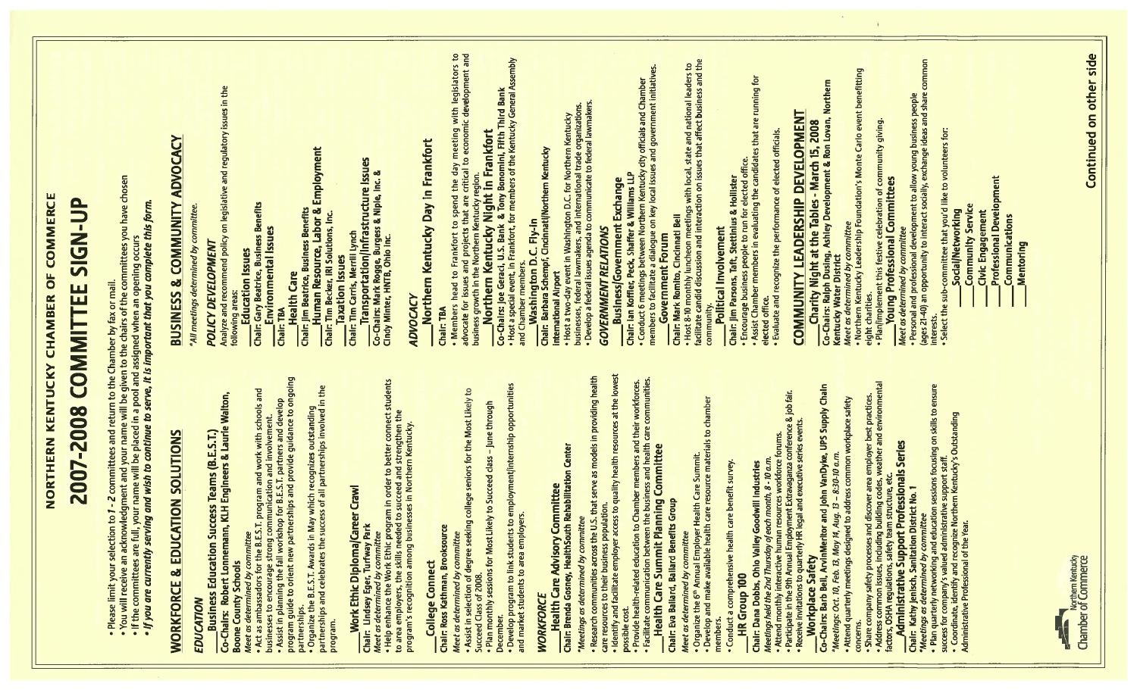|                                                                                                                                                                                                                                                                                                                                                    | NORTHERN KENTUCKY CHAMBER OF COMMERCE                                                                                                                                                                                                                            |
|----------------------------------------------------------------------------------------------------------------------------------------------------------------------------------------------------------------------------------------------------------------------------------------------------------------------------------------------------|------------------------------------------------------------------------------------------------------------------------------------------------------------------------------------------------------------------------------------------------------------------|
| 2007-2008 COMMITTEE                                                                                                                                                                                                                                                                                                                                | AD-N-N<br>SIG-N                                                                                                                                                                                                                                                  |
| • Please limit your selection to 1 - 2 committees and return to the Chamber by fax or mail.<br>• You will receive an acknowledgment and your name will be given to the chairs of the committees you have chosen<br>• If the committe<br>. If you are currently serving and wish to continue to serve, it is important that you complete this form. |                                                                                                                                                                                                                                                                  |
| <b>CATION SOLUTIONS</b><br>& EDU<br><b>WORKFORCE</b>                                                                                                                                                                                                                                                                                               | & COMMUNITY ADVOCACY<br><b>BUSINESS</b>                                                                                                                                                                                                                          |
| EDUCATION                                                                                                                                                                                                                                                                                                                                          | alyze and recommend policy on legislative and regulatory issues in the<br>"All meetings determined by committee<br><b>POLICY DEVELOPMENT</b>                                                                                                                     |
| committ<br>leet as determined by                                                                                                                                                                                                                                                                                                                   | Chair: Gary Beatrice, Business Benefits<br><b>Education Issues</b><br>following areas:                                                                                                                                                                           |
| • Act as ambassadors for the B.E.S.T. program and work with schools and<br>businesses to encourage strong communication and involvement.<br>• Assist in planning the fall workshop for B.E.S.T. partners and develop<br>program guide t                                                                                                            | Environmental Issues<br>TBA<br>diair:                                                                                                                                                                                                                            |
| • Organize the B.E.S.T. Awards in May which recognizes outstanding<br>partnerships and celebrates the success of all partnerships involved in the<br>partnerships.                                                                                                                                                                                 | Chair: Jim Beatrice, Business Benefits<br>_______Human Resource, Labor & Employment<br>Chair: Tim Becker, IRI Solutions, Inc.<br><b>Health Care</b>                                                                                                              |
| Career Crawl<br>Work Ethic Diploma<br>program.                                                                                                                                                                                                                                                                                                     | <mark>Chair: Tim Cartis, Merrill Lynch</mark><br>_______Transportation/Infrastructure Issues<br><b>Taxation Issues</b>                                                                                                                                           |
| students<br>• Help enhance the Work Ethic program in order to better connect s<br>to area employers, the skills needed to succeed and strengthen the<br>program's recognition among businesses in Northern Kentucky.<br>Park<br><b>Chair: Lindsey Eger, Turfway Par</b><br>Meet as determined by committee<br>• Help enhance the Work Ethic pro    | Co-Chairs: Mark Rogge, Burgess & Niple, inc. &<br>Cindy Minter, HNTB, Ohio inc.                                                                                                                                                                                  |
|                                                                                                                                                                                                                                                                                                                                                    | Northern Kentucky Day in Frankfort<br><b>ADVOCAC)</b>                                                                                                                                                                                                            |
| Chair: Ross Kathman, Brooksource<br>Meet as determined by commit<br><b>College Connect</b>                                                                                                                                                                                                                                                         | Chair: TBA                                                                                                                                                                                                                                                       |
| • Assist in selection of degree seeking college seniors for the Most Likely to<br>Succeed Class of 2008.                                                                                                                                                                                                                                           |                                                                                                                                                                                                                                                                  |
| • Develop program to link students to employment/internship opportunities<br>and market students to area employers.<br>Plan monthly sessions for Most Likely to Succeed class - June through<br>December.                                                                                                                                          | • Members head to Frankfort to spend the day meeting with legislators to<br>advocate for issues and projects that are critical to economic development and<br>business growth in the Northern Kentucky region.<br><b>_______Northern Kent</b>                    |
| <b>WORKFORCE</b>                                                                                                                                                                                                                                                                                                                                   | Washington D.C. Fly-in<br>Barbara Schempf, Cincinnati/Northem Kentucky<br>Chair:                                                                                                                                                                                 |
| <b>Health Care Advisory Committee</b><br>Chair: Brenda Gosney, HealthSouth Rehabilitation Center                                                                                                                                                                                                                                                   | <b>International Airport</b>                                                                                                                                                                                                                                     |
| *Meetings as determined by committee                                                                                                                                                                                                                                                                                                               | • Host a two-day event in Washington D.C. for Northern Kentucky<br>businesses, federal lawmakers, and international trade organizations.<br>• Develop a federal issues agenda to communicate to federal lawmakers.                                               |
| • Research communities across the U.S. that serve as models in providing health<br>care resources to their business population.<br>• Identify and facilitate employer access to quality health resources at the lowest                                                                                                                             | <b>GOVERNMENT RELATIONS</b>                                                                                                                                                                                                                                      |
| cost.<br>possible                                                                                                                                                                                                                                                                                                                                  | Chair: Ian Koffler, Peck, Shaffer & Williams LLP<br>• Conduct 6 meetings between Northern Kentucky city officials and Chamber<br>members to facilitate a <u>d</u> ialogue on key local issues and government initiatives.<br><b>Business/Government Exchange</b> |
| • Provide health-related education to Chamber members and their workforces.<br>• Facilitate communication between the business and health care communities.<br>——Health Care Summit Planning Committee                                                                                                                                             | ers to facilitate a dialogue<br><b>Government Forum</b>                                                                                                                                                                                                          |
| Chair: Eva Ballard, Ballard Benefits Group<br>Meet as determined by committee                                                                                                                                                                                                                                                                      | Chair: Mark Romito, Cincinnati Bell<br>• Host 8-10 monthly luncheon meetings with local, state and national leaders to<br>facilitate candid discussion and interaction on issues that affect business and the                                                    |
| • Organize the 6™ Annual Employer Health Care Summit.<br>• Develop and make available health care resource materials to chamber<br>members                                                                                                                                                                                                         | Political Involvement<br>community                                                                                                                                                                                                                               |
| comprehensive health care benefit survey.<br><b>HR Group 100</b><br>rg<br>Conduct                                                                                                                                                                                                                                                                  | Chair: Jim Parsons, Taft, Stettinius & Hollister<br>• Encourage business people to run for elected office.<br>• Assist Chamber members in evaluating the candidates that are running for                                                                         |
| Chair: Dana Dobbs, Ohio Valley Goodwill Industries<br><i>Meetings held the 2nd Thursday of each month, 8 - 10 a.m.</i><br>• Attend monthly interactive human resources workforce forums.<br>• Participate in the 9th Annual Employment Extra                                                                                                       | elected office.                                                                                                                                                                                                                                                  |
|                                                                                                                                                                                                                                                                                                                                                    | <b>COMMUNITY LEADERSHIP DEVELOPMENT</b><br>Evaluate and recognize the performance of elected officials.                                                                                                                                                          |
| Workplace Safety<br>Thairs: Barb Bell, ArvinMeritor and John VanDyke, UPS Supply Chain<br>Co-Chairs:                                                                                                                                                                                                                                               |                                                                                                                                                                                                                                                                  |
| . Attend quarterly meetings designed to address common workplace safety<br>$-8:30-10$ a.m.<br>*Meetings: Oct. 10, Feb. 13, May 14, Aug. 13                                                                                                                                                                                                         | Charity Night at the Tables - March 15, 2008<br>Co-Chairs: Ralph Dusing, Ashley Development & Ron Lovan, Northern<br>Kentucky Water District<br>Meet as determined by committee                                                                                  |
| concerns.                                                                                                                                                                                                                                                                                                                                          | <i>feet as determined by committee</i><br>Northern Kentucky Leadership Foundation's Monte Carlo event benefitting<br>eight charities.                                                                                                                            |
| Share company safety processes and discover area employer best practices.<br>Address common issues, including building codes, weather and environmental<br>ctors, OSHA regulations, safety team structure, etc.<br>____________________<br>factors,                                                                                                | · Planlimplement this festive celebration of community giving.<br><b>Young Professional Committees</b>                                                                                                                                                           |
| Sanitation District No. 1<br>Kathy Jenisch,<br>Chair:                                                                                                                                                                                                                                                                                              | • Personal and professional development to allow young business people<br>(ages 21-40) an opportunity to interact socially, exchange ideas and share common<br>mined by committee<br>Meet as deter                                                               |
| * <i>Meetings as determined by committee</i><br>• Plan quarterly networking and education sessions focusing on skills to ensure<br>success for company's valued administrative support staff.<br>• Coordinate, identify and recognize Norther                                                                                                      | interests.<br>• Select the sub-committee that you'd like to volunteers for:<br>• • •                                                                                                                                                                             |
|                                                                                                                                                                                                                                                                                                                                                    | <b>Community Service</b><br>Social/Networking                                                                                                                                                                                                                    |
|                                                                                                                                                                                                                                                                                                                                                    | <b>Professional Development</b><br>Civic Engagement                                                                                                                                                                                                              |
|                                                                                                                                                                                                                                                                                                                                                    | <b>Communications</b><br>Mentoring                                                                                                                                                                                                                               |
|                                                                                                                                                                                                                                                                                                                                                    |                                                                                                                                                                                                                                                                  |
| <b>Chamber of Commerce</b><br>K                                                                                                                                                                                                                                                                                                                    |                                                                                                                                                                                                                                                                  |
|                                                                                                                                                                                                                                                                                                                                                    | Continued on other side                                                                                                                                                                                                                                          |

 $\sim 10^{-1}$ 

 $\sim 3$